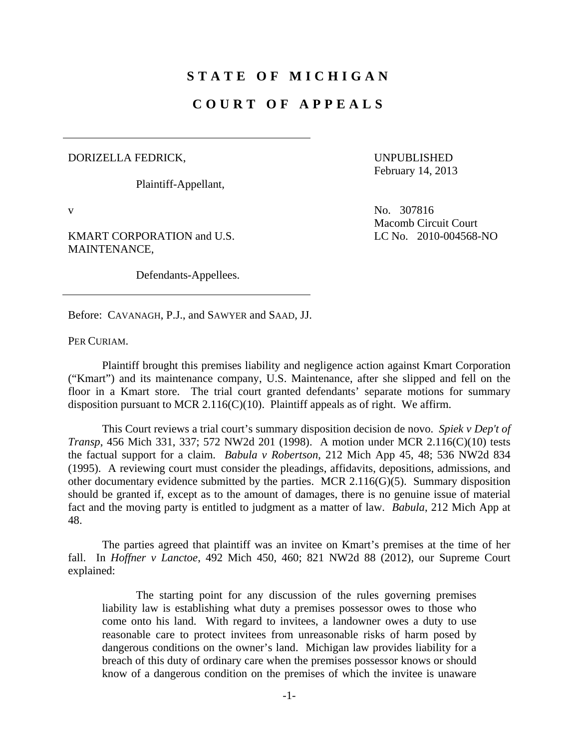## **STATE OF MICHIGAN**

## **COURT OF APPEALS**

## DORIZELLA FEDRICK,

Plaintiff-Appellant,

UNPUBLISHED February 14, 2013

KMART CORPORATION and U.S. MAINTENANCE,

Defendants-Appellees.

v No. 307816 Macomb Circuit Court LC No. 2010-004568-NO

Before: CAVANAGH, P.J., and SAWYER and SAAD, JJ.

PER CURIAM.

 Plaintiff brought this premises liability and negligence action against Kmart Corporation ("Kmart") and its maintenance company, U.S. Maintenance, after she slipped and fell on the floor in a Kmart store. The trial court granted defendants' separate motions for summary disposition pursuant to MCR 2.116(C)(10). Plaintiff appeals as of right. We affirm.

 This Court reviews a trial court's summary disposition decision de novo. *Spiek v Dep't of Transp*, 456 Mich 331, 337; 572 NW2d 201 (1998). A motion under MCR 2.116(C)(10) tests the factual support for a claim. *Babula v Robertson*, 212 Mich App 45, 48; 536 NW2d 834 (1995). A reviewing court must consider the pleadings, affidavits, depositions, admissions, and other documentary evidence submitted by the parties. MCR 2.116(G)(5). Summary disposition should be granted if, except as to the amount of damages, there is no genuine issue of material fact and the moving party is entitled to judgment as a matter of law. *Babula*, 212 Mich App at 48.

 The parties agreed that plaintiff was an invitee on Kmart's premises at the time of her fall. In *Hoffner v Lanctoe*, 492 Mich 450, 460; 821 NW2d 88 (2012), our Supreme Court explained:

 The starting point for any discussion of the rules governing premises liability law is establishing what duty a premises possessor owes to those who come onto his land. With regard to invitees, a landowner owes a duty to use reasonable care to protect invitees from unreasonable risks of harm posed by dangerous conditions on the owner's land. Michigan law provides liability for a breach of this duty of ordinary care when the premises possessor knows or should know of a dangerous condition on the premises of which the invitee is unaware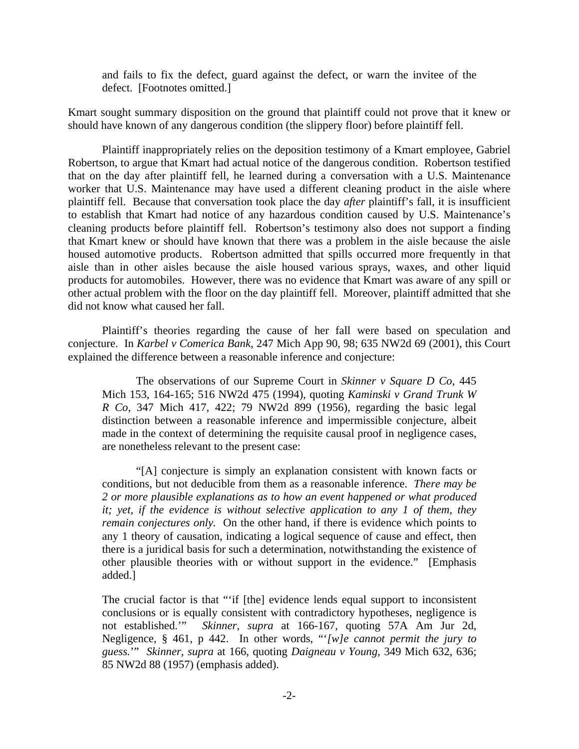and fails to fix the defect, guard against the defect, or warn the invitee of the defect. [Footnotes omitted.]

Kmart sought summary disposition on the ground that plaintiff could not prove that it knew or should have known of any dangerous condition (the slippery floor) before plaintiff fell.

 Plaintiff inappropriately relies on the deposition testimony of a Kmart employee, Gabriel Robertson, to argue that Kmart had actual notice of the dangerous condition. Robertson testified that on the day after plaintiff fell, he learned during a conversation with a U.S. Maintenance worker that U.S. Maintenance may have used a different cleaning product in the aisle where plaintiff fell. Because that conversation took place the day *after* plaintiff's fall, it is insufficient to establish that Kmart had notice of any hazardous condition caused by U.S. Maintenance's cleaning products before plaintiff fell. Robertson's testimony also does not support a finding that Kmart knew or should have known that there was a problem in the aisle because the aisle housed automotive products. Robertson admitted that spills occurred more frequently in that aisle than in other aisles because the aisle housed various sprays, waxes, and other liquid products for automobiles. However, there was no evidence that Kmart was aware of any spill or other actual problem with the floor on the day plaintiff fell. Moreover, plaintiff admitted that she did not know what caused her fall.

 Plaintiff's theories regarding the cause of her fall were based on speculation and conjecture. In *Karbel v Comerica Bank*, 247 Mich App 90, 98; 635 NW2d 69 (2001), this Court explained the difference between a reasonable inference and conjecture:

 The observations of our Supreme Court in *Skinner v Square D Co*, 445 Mich 153, 164-165; 516 NW2d 475 (1994), quoting *Kaminski v Grand Trunk W R Co*, 347 Mich 417, 422; 79 NW2d 899 (1956), regarding the basic legal distinction between a reasonable inference and impermissible conjecture, albeit made in the context of determining the requisite causal proof in negligence cases, are nonetheless relevant to the present case:

 "[A] conjecture is simply an explanation consistent with known facts or conditions, but not deducible from them as a reasonable inference. *There may be 2 or more plausible explanations as to how an event happened or what produced it; yet, if the evidence is without selective application to any 1 of them, they remain conjectures only.* On the other hand, if there is evidence which points to any 1 theory of causation, indicating a logical sequence of cause and effect, then there is a juridical basis for such a determination, notwithstanding the existence of other plausible theories with or without support in the evidence." [Emphasis added.]

The crucial factor is that "'if [the] evidence lends equal support to inconsistent conclusions or is equally consistent with contradictory hypotheses, negligence is not established.'" *Skinner*, *supra* at 166-167, quoting 57A Am Jur 2d, Negligence, § 461, p 442. In other words, "'*[w]e cannot permit the jury to guess.*'" *Skinner*, *supra* at 166, quoting *Daigneau v Young*, 349 Mich 632, 636; 85 NW2d 88 (1957) (emphasis added).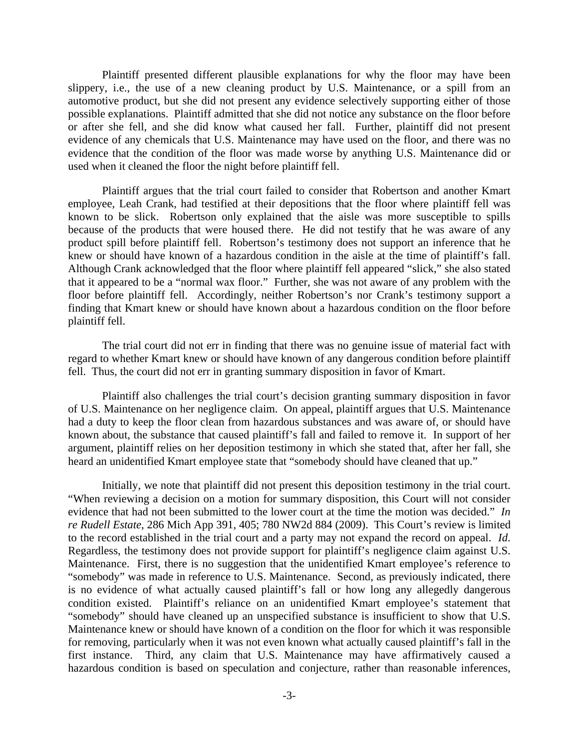Plaintiff presented different plausible explanations for why the floor may have been slippery, i.e., the use of a new cleaning product by U.S. Maintenance, or a spill from an automotive product, but she did not present any evidence selectively supporting either of those possible explanations. Plaintiff admitted that she did not notice any substance on the floor before or after she fell, and she did know what caused her fall. Further, plaintiff did not present evidence of any chemicals that U.S. Maintenance may have used on the floor, and there was no evidence that the condition of the floor was made worse by anything U.S. Maintenance did or used when it cleaned the floor the night before plaintiff fell.

 Plaintiff argues that the trial court failed to consider that Robertson and another Kmart employee, Leah Crank, had testified at their depositions that the floor where plaintiff fell was known to be slick. Robertson only explained that the aisle was more susceptible to spills because of the products that were housed there. He did not testify that he was aware of any product spill before plaintiff fell. Robertson's testimony does not support an inference that he knew or should have known of a hazardous condition in the aisle at the time of plaintiff's fall. Although Crank acknowledged that the floor where plaintiff fell appeared "slick," she also stated that it appeared to be a "normal wax floor." Further, she was not aware of any problem with the floor before plaintiff fell. Accordingly, neither Robertson's nor Crank's testimony support a finding that Kmart knew or should have known about a hazardous condition on the floor before plaintiff fell.

 The trial court did not err in finding that there was no genuine issue of material fact with regard to whether Kmart knew or should have known of any dangerous condition before plaintiff fell. Thus, the court did not err in granting summary disposition in favor of Kmart.

 Plaintiff also challenges the trial court's decision granting summary disposition in favor of U.S. Maintenance on her negligence claim. On appeal, plaintiff argues that U.S. Maintenance had a duty to keep the floor clean from hazardous substances and was aware of, or should have known about, the substance that caused plaintiff's fall and failed to remove it. In support of her argument, plaintiff relies on her deposition testimony in which she stated that, after her fall, she heard an unidentified Kmart employee state that "somebody should have cleaned that up."

 Initially, we note that plaintiff did not present this deposition testimony in the trial court. "When reviewing a decision on a motion for summary disposition, this Court will not consider evidence that had not been submitted to the lower court at the time the motion was decided." *In re Rudell Estate*, 286 Mich App 391, 405; 780 NW2d 884 (2009). This Court's review is limited to the record established in the trial court and a party may not expand the record on appeal. *Id*. Regardless, the testimony does not provide support for plaintiff's negligence claim against U.S. Maintenance. First, there is no suggestion that the unidentified Kmart employee's reference to "somebody" was made in reference to U.S. Maintenance. Second, as previously indicated, there is no evidence of what actually caused plaintiff's fall or how long any allegedly dangerous condition existed. Plaintiff's reliance on an unidentified Kmart employee's statement that "somebody" should have cleaned up an unspecified substance is insufficient to show that U.S. Maintenance knew or should have known of a condition on the floor for which it was responsible for removing, particularly when it was not even known what actually caused plaintiff's fall in the first instance. Third, any claim that U.S. Maintenance may have affirmatively caused a hazardous condition is based on speculation and conjecture, rather than reasonable inferences,